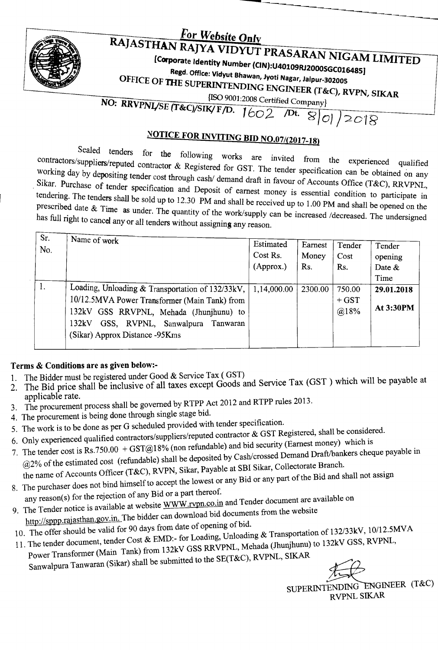

## For Website Only RAJASTHAN RAJYA VIDYUT PRASARAN NIGAM LIMITED

[Corporate Identity Number (CIN):U40109RJ2000SGC016485]

Regd. Office: Vidyut Bhawan, Jyoti Nagar, Jaipur-302005

OFFICE OF THE SUPERINTENDING ENGINEER (T&C), RVPN, SIKAR

[ISO 9001:2008 Certified Company] NO: RRVPNL/SE (T&C)/SIK/F/D.  $1602$  $\sqrt{Dt.}$  8 0 2018

## **NOTICE FOR INVITING BID NO.07/(2017-18)**

Sealed tenders for the following works are invited from the experienced contractors/suppliers/reputed contractor & Registered for GST. The tender specification can be obtained on any working day by depositing tender cost through cash/ demand draft in favour of Accounts Office (T&C), RRVPNL, Sikar. Purchase of tender specification and Deposit of earnest money is essential condition to participate in tendering. The tenders shall be sold up to 12.30 PM and shall be received up to 1.00 PM and shall be opened on the prescribed date & Time as under. The quantity of the work/supply can be increased /decreased. The undersigned has full right to cancel any or all tenders without assigning any reason.

| Sr. | Name of work                                     |             |         |         |            |
|-----|--------------------------------------------------|-------------|---------|---------|------------|
| No. |                                                  | Estimated   | Earnest | Tender  | Tender     |
|     |                                                  | Cost Rs.    | Money   | Cost    | opening    |
|     |                                                  | (Approx.)   | Rs.     | Rs.     | Date $\&$  |
|     |                                                  |             |         |         | Time       |
| 1.  | Loading, Unloading & Transportation of 132/33kV, | 1,14,000.00 | 2300.00 | 750.00  | 29.01.2018 |
|     | 10/12.5MVA Power Transformer (Main Tank) from    |             |         | $+$ GST | At 3:30PM  |
|     | 132kV GSS RRVPNL, Mehada (Jhunjhunu) to          |             |         | @18%    |            |
|     | GSS, RVPNL, Sanwalpura Tanwaran<br>132kV         |             |         |         |            |
|     | (Sikar) Approx Distance -95Kms                   |             |         |         |            |
|     |                                                  |             |         |         |            |

## Terms & Conditions are as given below:-

- The Bidder must be registered under Good & Service Tax (GST)  $1_{-}$
- The Bid price shall be inclusive of all taxes except Goods and Service Tax (GST) which will be payable at 2. applicable rate.
- The procurement process shall be governed by RTPP Act 2012 and RTPP rules 2013. 3.
- 4. The procurement is being done through single stage bid.
- 5. The work is to be done as per G scheduled provided with tender specification.
- 6. Only experienced qualified contractors/suppliers/reputed contractor & GST Registered, shall be considered.
- 7. The tender cost is Rs.750.00 + GST@18% (non refundable) and bid security (Earnest money) which is @2% of the estimated cost (refundable) shall be deposited by Cash/crossed Demand Draft/bankers cheque payable in the name of Accounts Officer (T&C), RVPN, Sikar, Payable at SBI Sikar, Collectorate Branch.

8. The purchaser does not bind himself to accept the lowest or any Bid or any part of the Bid and shall not assign

- any reason(s) for the rejection of any Bid or a part thereof.
- 9. The Tender notice is available at website WWW.rvpn.co.in and Tender document are available on http://sppp.rajasthan.gov.in. The bidder can download bid documents from the website
- 10. The offer should be valid for 90 days from date of opening of bid.
- 11. The tender document, tender Cost & EMD:- for Loading, Unloading & Transportation of 132/33kV, 10/12.5MVA Power Transformer (Main Tank) from 132kV GSS RRVPNL, Mehada (Jhunjhunu) to 132kV GSS, RVPNL, Sanwalpura Tanwaran (Sikar) shall be submitted to the SE(T&C), RVPNL, SIKAR

SUPERINTENDING ENGINEER (T&C) RVPNL SIKAR